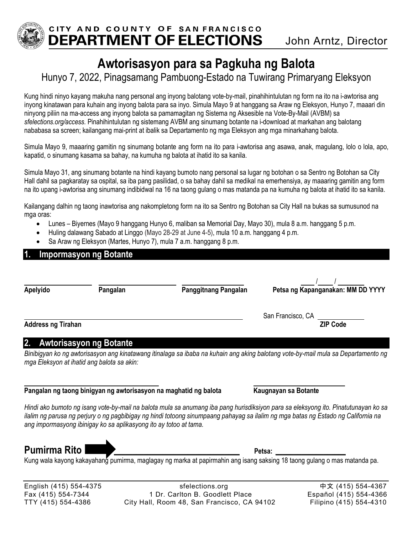

# **Awtorisasyon para sa Pagkuha ng Balota**

Hunyo 7, 2022, Pinagsamang Pambuong-Estado na Tuwirang Primaryang Eleksyon

Kung hindi ninyo kayang makuha nang personal ang inyong balotang vote-by-mail, pinahihintulutan ng form na ito na i-awtorisa ang inyong kinatawan para kuhain ang inyong balota para sa inyo. Simula Mayo 9 at hanggang sa Araw ng Eleksyon, Hunyo 7, maaari din ninyong piliin na ma-access ang inyong balota sa pamamagitan ng Sistema ng Aksesible na Vote-By-Mail (AVBM) sa *sfelections.org/access.* Pinahihintulutan ng sistemang AVBM ang sinumang botante na i-download at markahan ang balotang nababasa sa screen; kailangang mai-print at ibalik sa Departamento ng mga Eleksyon ang mga minarkahang balota.

Simula Mayo 9, maaaring gamitin ng sinumang botante ang form na ito para i-awtorisa ang asawa, anak, magulang, lolo o lola, apo, kapatid, o sinumang kasama sa bahay, na kumuha ng balota at ihatid ito sa kanila.

Simula Mayo 31, ang sinumang botante na hindi kayang bumoto nang personal sa lugar ng botohan o sa Sentro ng Botohan sa City Hall dahil sa pagkaratay sa ospital, sa iba pang pasilidad, o sa bahay dahil sa medikal na emerhensiya, ay maaaring gamitin ang form na ito upang i-awtorisa ang sinumang indibidwal na 16 na taong gulang o mas matanda pa na kumuha ng balota at ihatid ito sa kanila.

Kailangang dalhin ng taong inawtorisa ang nakompletong form na ito sa Sentro ng Botohan sa City Hall na bukas sa sumusunod na mga oras:

- Lunes Biyernes (Mayo 9 hanggang Hunyo 6, maliban sa Memorial Day, Mayo 30), mula 8 a.m. hanggang 5 p.m.
- Huling dalawang Sabado at Linggo (Mayo 28-29 at June 4-5), mula 10 a.m. hanggang 4 p.m.
- Sa Araw ng Eleksyon (Martes, Hunyo 7), mula 7 a.m. hanggang 8 p.m.

### **1. Impormasyon ng Botante**

| Apelyido                  | Pangalan | Panggitnang Pangalan | Petsa ng Kapanganakan: MM DD YYYY    |
|---------------------------|----------|----------------------|--------------------------------------|
| <b>Address ng Tirahan</b> |          |                      | San Francisco, CA<br><b>ZIP Code</b> |

### **2. Awtorisasyon ng Botante**

*Binibigyan ko ng awtorisasyon ang kinatawang itinalaga sa ibaba na kuhain ang aking balotang vote-by-mail mula sa Departamento ng mga Eleksyon at ihatid ang balota sa akin:* 

#### $\overline{a}$ **Pangalan ng taong binigyan ng awtorisasyon na maghatid ng balota Kaugnayan sa Botante**

*Hindi ako bumoto ng isang vote-by-mail na balota mula sa anumang iba pang hurisdiksiyon para sa eleksyong ito. Pinatutunayan ko sa ilalim ng parusa ng perjury o ng pagbibigay ng hindi totoong sinumpaang pahayag sa ilalim ng mga batas ng Estado ng California na ang impormasyong ibinigay ko sa aplikasyong ito ay totoo at tama.*

**Pumirma Rito** \_\_\_\_\_\_\_\_\_\_\_\_\_\_\_\_\_\_\_\_\_\_\_\_\_\_\_\_\_\_\_\_\_\_ **Petsa:** \_\_\_\_\_\_\_\_\_\_\_\_\_\_\_\_\_\_\_

Kung wala kayong kakayahang pumirma, maglagay ng marka at papirmahin ang isang saksing 18 taong gulang o mas matanda pa.

English (415) 554-4375 sfelections.org中文 (415) 554-4367 Fax (415) 554-7344 1 Dr. Carlton B. Goodlett Place Español (415) 554-4366 TTY (415) 554-4386City Hall, Room 48, San Francisco, CA 94102 Filipino (415) 554-4310